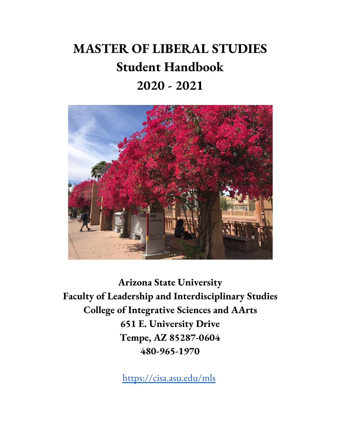# **MASTER OF LIBERAL STUDIES Student Handbook 2020 - 2021**



**Arizona State University Faculty of Leadership and Interdisciplinary Studies College of Integrative Sciences and AArts 651 E. University Drive Tempe, AZ 85287-0604 480-965-1970**

<https://cisa.asu.edu/mls>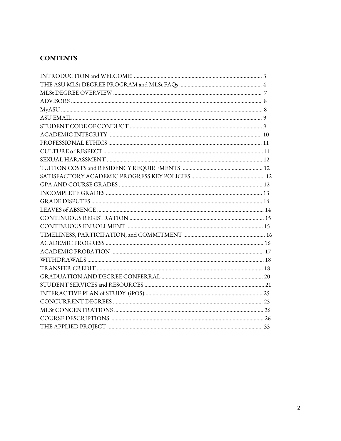# **CONTENTS**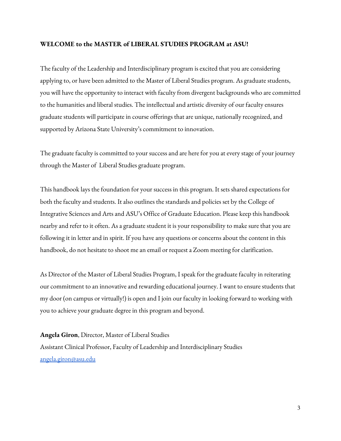#### **WELCOME to the MASTER of LIBERAL STUDIES PROGRAM at ASU!**

The faculty of the Leadership and Interdisciplinary program is excited that you are considering applying to, or have been admitted to the Master of Liberal Studies program. As graduate students, you will have the opportunity to interact with faculty from divergent backgrounds who are committed to the humanities and liberal studies. The intellectual and artistic diversity of our faculty ensures graduate students will participate in course offerings that are unique, nationally recognized, and supported by Arizona State University's commitment to innovation.

The graduate faculty is committed to your success and are here for you at every stage of your journey through the Master of Liberal Studies graduate program.

This handbook lays the foundation for your success in this program. It sets shared expectations for both the faculty and students. It also outlines the standards and policies set by the College of Integrative Sciences and Arts and ASU's Office of Graduate Education. Please keep this handbook nearby and refer to it often. As a graduate student it is your responsibility to make sure that you are following it in letter and in spirit. If you have any questions or concerns about the content in this handbook, do not hesitate to shoot me an email or request a Zoom meeting for clarification.

As Director of the Master of Liberal Studies Program, I speak for the graduate faculty in reiterating our commitment to an innovative and rewarding educational journey. I want to ensure students that my door (on campus or virtually!) is open and I join our faculty in looking forward to working with you to achieve your graduate degree in this program and beyond.

**Angela Giron**, Director, Master of Liberal Studies Assistant Clinical Professor, Faculty of Leadership and Interdisciplinary Studies [angela.giron@asu.edu](mailto:angela.giron@asu.edu)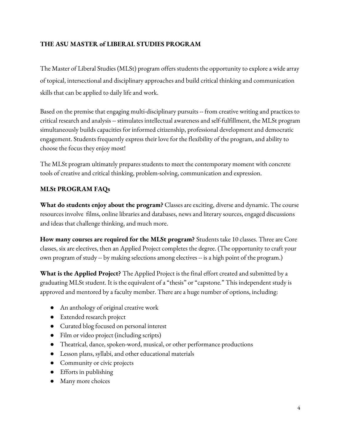# **THE ASU MASTER of LIBERAL STUDIES PROGRAM**

The Master of Liberal Studies (MLSt) program offers students the opportunity to explore a wide array of topical, intersectional and disciplinary approaches and build critical thinking and communication skills that can be applied to daily life and work.

Based on the premise that engaging multi-disciplinary pursuits -- from creative writing and practices to critical research and analysis -- stimulates intellectual awareness and self-fulfillment, the MLSt program simultaneously builds capacities for informed citizenship, professional development and democratic engagement. Students frequently express their love for the flexibility of the program, and ability to choose the focus they enjoy most!

The MLSt program ultimately prepares students to meet the contemporary moment with concrete tools of creative and critical thinking, problem-solving, communication and expression.

# **MLSt PROGRAM FAQs**

**What do students enjoy about the program?** Classes are exciting, diverse and dynamic. The course resources involve films, online libraries and databases, news and literary sources, engaged discussions and ideas that challenge thinking, and much more.

**How many courses are required for the MLSt program?** Students take 10 classes. Three are Core classes, six are electives, then an Applied Project completes the degree. (The opportunity to craft your own program of study -- by making selections among electives -- is a high point of the program.)

**What is the Applied Project?** The Applied Project is the final effort created and submitted by a graduating MLSt student. It is the equivalent of a "thesis" or "capstone." This independent study is approved and mentored by a faculty member. There are a huge number of options, including:

- **●** An anthology of original creative work
- **●** Extended research project
- **●** Curated blog focused on personal interest
- **●** Film or video project (including scripts)
- **●** Theatrical, dance, spoken-word, musical, or other performance productions
- **●** Lesson plans, syllabi, and other educational materials
- **●** Community or civic projects
- **●** Efforts in publishing
- **●** Many more choices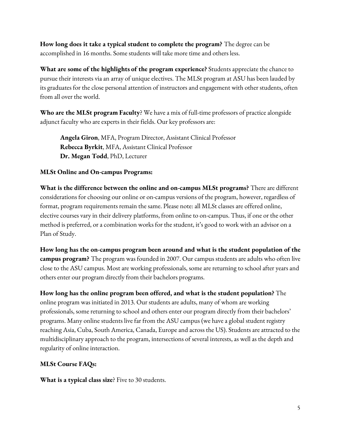**How long does it take a typical student to complete the program?** The degree can be accomplished in 16 months. Some students will take more time and others less.

**What are some of the highlights of the program experience?** Students appreciate the chance to pursue their interests via an array of unique electives. The MLSt program at ASU has been lauded by its graduates for the close personal attention of instructors and engagement with other students, often from all over the world.

**Who are the MLSt program Faculty**? We have a mix of full-time professors of practice alongside adjunct faculty who are experts in their fields. Our key professors are:

**Angela Giron**, MFA, Program Director, Assistant Clinical Professor **Rebecca Byrkit**, MFA, Assistant Clinical Professor **Dr. Megan Todd**, PhD, Lecturer

### **MLSt Online and On-campus Programs:**

**What is the difference between the online and on-campus MLSt programs?** There are different considerations for choosing our online or on-campus versions of the program, however, regardless of format, program requirements remain the same. Please note: all MLSt classes are offered online, elective courses vary in their delivery platforms, from online to on-campus. Thus, if one or the other method is preferred, or a combination works for the student, it's good to work with an advisor on a Plan of Study.

**How long has the on-campus program been around and what is the student population of the campus program?** The program was founded in 2007. Our campus students are adults who often live close to the ASU campus. Most are working professionals, some are returning to school after years and others enter our program directly from their bachelors programs.

**How long has the online program been offered, and what is the student population?** The online program was initiated in 2013. Our students are adults, many of whom are working professionals, some returning to school and others enter our program directly from their bachelors' programs. Many online students live far from the ASU campus (we have a global student registry reaching Asia, Cuba, South America, Canada, Europe and across the US). Students are attracted to the multidisciplinary approach to the program, intersections of several interests, as well as the depth and regularity of online interaction.

### **MLSt Course FAQs:**

**What is a typical class size**? Five to 30 students.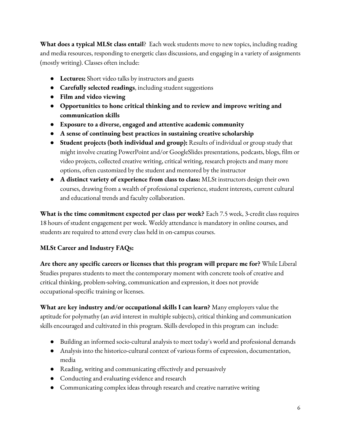**What does a typical MLSt class entail**? Each week students move to new topics, including reading and media resources, responding to energetic class discussions, and engaging in a variety of assignments (mostly writing). Classes often include:

- **Lectures:** Short video talks by instructors and guests
- **Carefully selected readings**, including student suggestions
- **Film and video viewing**
- **Opportunities to hone critical thinking and to review and improve writing and communication skills**
- **Exposure to a diverse, engaged and attentive academic community**
- **A sense of continuing best practices in sustaining creative scholarship**
- **Student projects (both individual and group):** Results of individual or group study that might involve creating PowerPoint and/or GoogleSlides presentations, podcasts, blogs, film or video projects, collected creative writing, critical writing, research projects and many more options, often customized by the student and mentored by the instructor
- **A distinct variety of experience from class to class:** MLSt instructors design their own courses, drawing from a wealth of professional experience, student interests, current cultural and educational trends and faculty collaboration.

**What is the time commitment expected per class per week?** Each 7.5 week, 3-credit class requires 18 hours of student engagement per week. Weekly attendance is mandatory in online courses, and students are required to attend every class held in on-campus courses.

# **MLSt Career and Industry FAQs:**

**Are there any specific careers or licenses that this program will prepare me for?** While Liberal Studies prepares students to meet the contemporary moment with concrete tools of creative and critical thinking, problem-solving, communication and expression, it does not provide occupational-specific training or licenses.

**What are key industry and/or occupational skills I can learn?** Many employers value the aptitude for polymathy (an avid interest in multiple subjects), critical thinking and communication skills encouraged and cultivated in this program. Skills developed in this program can include:

- **●** Building an informed socio-cultural analysis to meet today's world and professional demands
- **●** Analysis into the historico-cultural context of various forms of expression, documentation, media
- **●** Reading, writing and communicating effectively and persuasively
- **●** Conducting and evaluating evidence and research
- **●** Communicating complex ideas through research and creative narrative writing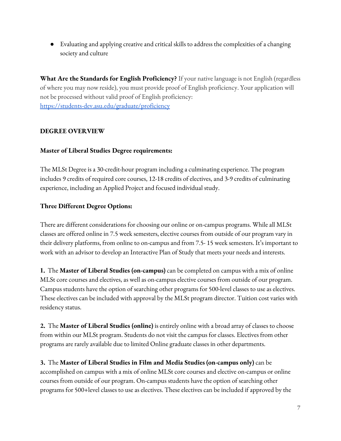**●** Evaluating and applying creative and critical skills to address the complexities of a changing society and culture

**What Are the Standards for English Proficiency?** If your native language is not English (regardless of where you may now reside), you must provide proof of English proficiency. Your application will not be processed without valid proof of English proficiency: <https://students-dev.asu.edu/graduate/proficiency>

### **DEGREE OVERVIEW**

### **Master of Liberal Studies Degree requirements:**

The MLSt Degree is a 30-credit-hour program including a culminating experience. The program includes 9 credits of required core courses, 12-18 credits of electives, and 3-9 credits of culminating experience, including an Applied Project and focused individual study.

### **Three Different Degree Options:**

There are different considerations for choosing our online or on-campus programs. While all MLSt classes are offered online in 7.5 week semesters, elective courses from outside of our program vary in their delivery platforms, from online to on-campus and from 7.5- 15 week semesters. It's important to work with an advisor to develop an Interactive Plan of Study that meets your needs and interests.

**1.** The **Master of Liberal Studies (on-campus)** can be completed on campus with a mix of online MLSt core courses and electives, as well as on-campus elective courses from outside of our program. Campus students have the option of searching other programs for 500-level classes to use as electives. These electives can be included with approval by the MLSt program director. Tuition cost varies with residency status.

**2.** The **Master of Liberal Studies (online)** is entirely online with a broad array of classes to choose from within our MLSt program. Students do not visit the campus for classes. Electives from other programs are rarely available due to limited Online graduate classes in other departments.

**3.** The **Master of Liberal Studies in Film and Media Studies (on-campus only)** can be accomplished on campus with a mix of online MLSt core courses and elective on-campus or online courses from outside of our program. On-campus students have the option of searching other programs for 500+level classes to use as electives. These electives can be included if approved by the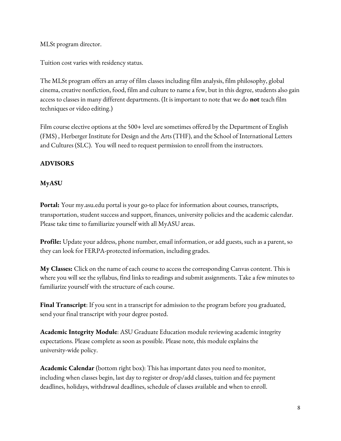MLSt program director.

Tuition cost varies with residency status.

The MLSt program offers an array of film classes including film analysis, film philosophy, global cinema, creative nonfiction, food, film and culture to name a few, but in this degree, students also gain access to classes in many different departments. (It is important to note that we do **not** teach film techniques or video editing.)

Film course elective options at the 500+ level are sometimes offered by the Department of English (FMS) , Herberger Institute for Design and the Arts (THF), and the School of International Letters and Cultures (SLC). You will need to request permission to enroll from the instructors.

# **ADVISORS**

### **MyASU**

**Portal:** Your my.asu.edu portal is your go-to place for information about courses, transcripts, transportation, student success and support, finances, university policies and the academic calendar. Please take time to familiarize yourself with all MyASU areas.

**Profile:** Update your address, phone number, email information, or add guests, such as a parent, so they can look for FERPA-protected information, including grades.

**My Classes:** Click on the name of each course to access the corresponding Canvas content. This is where you will see the syllabus, find links to readings and submit assignments. Take a few minutes to familiarize yourself with the structure of each course.

**Final Transcript**: If you sent in a transcript for admission to the program before you graduated, send your final transcript with your degree posted.

**Academic Integrity Module**: ASU Graduate Education module reviewing academic integrity expectations. Please complete as soon as possible. Please note, this module explains the university-wide policy.

**Academic Calendar** (bottom right box): This has important dates you need to monitor, including when classes begin, last day to register or drop/add classes, tuition and fee payment deadlines, holidays, withdrawal deadlines, schedule of classes available and when to enroll.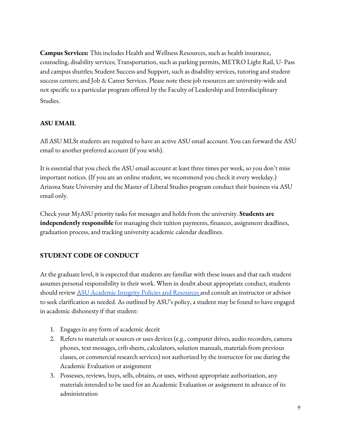**Campus Services:** This includes Health and Wellness Resources, such as health insurance, counseling, disability services; Transportation, such as parking permits, METRO Light Rail, U- Pass and campus shuttles; Student Success and Support, such as disability services, tutoring and student success centers; and Job & Career Services. Please note these job resources are university-wide and not specific to a particular program offered by the Faculty of Leadership and Interdisciplinary Studies.

### **ASU EMAIL**

All ASU MLSt students are required to have an active ASU email account. You can forward the ASU email to another preferred account (if you wish).

It is essential that you check the ASU email account at least three times per week, so you don't miss important notices. (If you are an online student, we recommend you check it every weekday.) Arizona State University and the Master of Liberal Studies program conduct their business via ASU email only.

Check your MyASU priority tasks for messages and holds from the university. **Students are independently responsible** for managing their tuition payments, finances, assignment deadlines, graduation process, and tracking university academic calendar deadlines.

# **STUDENT CODE OF CONDUCT**

At the graduate level, it is expected that students are familiar with these issues and that each student assumes personal responsibility in their work. When in doubt about appropriate conduct, students should review **ASU Academic Integrity Policies and [Resources](https://www.asu.edu/courses/acc250m/webs/academic_integrity_policy.htm) and consult an instructor or advisor** to seek clarification as needed. As outlined by ASU's policy, a student may be found to have engaged in academic dishonesty if that student:

- 1. Engages in any form of academic deceit
- 2. Refers to materials or sources or uses devices (e.g., computer drives, audio recorders, camera phones, text messages, crib sheets, calculators, solution manuals, materials from previous classes, or commercial research services) not authorized by the instructor for use during the Academic Evaluation or assignment
- 3. Possesses, reviews, buys, sells, obtains, or uses, without appropriate authorization, any materials intended to be used for an Academic Evaluation or assignment in advance of its administration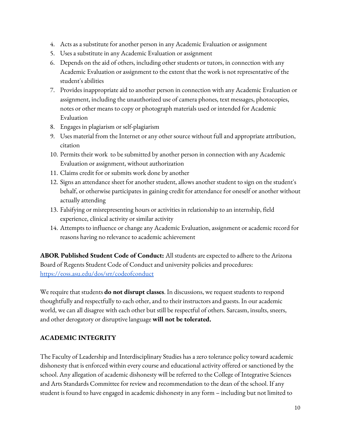- 4. Acts as a substitute for another person in any Academic Evaluation or assignment
- 5. Uses a substitute in any Academic Evaluation or assignment
- 6. Depends on the aid of others, including other students or tutors, in connection with any Academic Evaluation or assignment to the extent that the work is not representative of the student's abilities
- 7. Provides inappropriate aid to another person in connection with any Academic Evaluation or assignment, including the unauthorized use of camera phones, text messages, photocopies, notes or other means to copy or photograph materials used or intended for Academic Evaluation
- 8. Engages in plagiarism or self-plagiarism
- 9. Uses material from the Internet or any other source without full and appropriate attribution, citation
- 10. Permits their work to be submitted by another person in connection with any Academic Evaluation or assignment, without authorization
- 11. Claims credit for or submits work done by another
- 12. Signs an attendance sheet for another student, allows another student to sign on the student's behalf, or otherwise participates in gaining credit for attendance for oneself or another without actually attending
- 13. Falsifying or misrepresenting hours or activities in relationship to an internship, field experience, clinical activity or similar activity
- 14. Attempts to influence or change any Academic Evaluation, assignment or academic record for reasons having no relevance to academic achievement

**ABOR Published Student Code of Conduct:** All students are expected to adhere to the Arizona Board of Regents Student Code of Conduct and university policies and procedures: <https://eoss.asu.edu/dos/srr/codeofconduct>

We require that students **do not disrupt classes**. In discussions, we request students to respond thoughtfully and respectfully to each other, and to their instructors and guests. In our academic world, we can all disagree with each other but still be respectful of others. Sarcasm, insults, sneers, and other derogatory or disruptive language **will not be tolerated.**

### **ACADEMIC INTEGRITY**

The Faculty of Leadership and Interdisciplinary Studies has a zero tolerance policy toward academic dishonesty that is enforced within every course and educational activity offered or sanctioned by the school. Any allegation of academic dishonesty will be referred to the College of Integrative Sciences and Arts Standards Committee for review and recommendation to the dean of the school. If any student is found to have engaged in academic dishonesty in any form – including but not limited to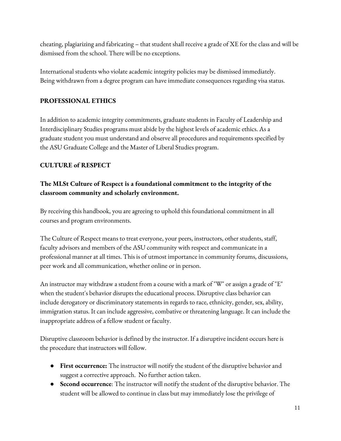cheating, plagiarizing and fabricating – that student shall receive a grade of XE for the class and will be dismissed from the school. There will be no exceptions.

International students who violate academic integrity policies may be dismissed immediately. Being withdrawn from a degree program can have immediate consequences regarding visa status.

### **PROFESSIONAL ETHICS**

In addition to academic integrity commitments, graduate students in Faculty of Leadership and Interdisciplinary Studies programs must abide by the highest levels of academic ethics. As a graduate student you must understand and observe all procedures and requirements specified by the ASU Graduate College and the Master of Liberal Studies program.

# **CULTURE of RESPECT**

# **The MLSt Culture of Respect is a foundational commitment to the integrity of the classroom community and scholarly environment.**

By receiving this handbook, you are agreeing to uphold this foundational commitment in all courses and program environments.

The Culture of Respect means to treat everyone, your peers, instructors, other students, staff, faculty advisors and members of the ASU community with respect and communicate in a professional manner at all times. This is of utmost importance in community forums, discussions, peer work and all communication, whether online or in person.

An instructor may withdraw a student from a course with a mark of "W" or assign a grade of "E" when the student's behavior disrupts the educational process. Disruptive class behavior can include derogatory or discriminatory statements in regards to race, ethnicity, gender, sex, ability, immigration status. It can include aggressive, combative or threatening language. It can include the inappropriate address of a fellow student or faculty.

Disruptive classroom behavior is defined by the instructor. If a disruptive incident occurs here is the procedure that instructors will follow.

- **First occurrence:** The instructor will notify the student of the disruptive behavior and suggest a corrective approach. No further action taken.
- **Second occurrence**: The instructor will notify the student of the disruptive behavior. The student will be allowed to continue in class but may immediately lose the privilege of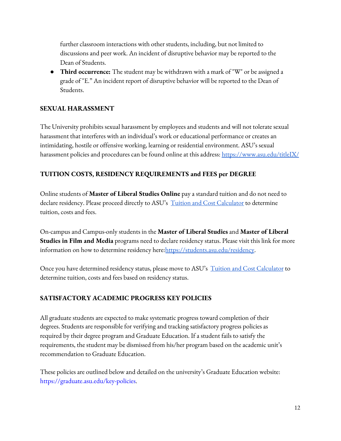further classroom interactions with other students, including, but not limited to discussions and peer work. An incident of disruptive behavior may be reported to the Dean of Students.

● **Third occurrence:** The student may be withdrawn with a mark of "W" or be assigned a grade of "E." An incident report of disruptive behavior will be reported to the Dean of Students.

### **SEXUAL HARASSMENT**

The University prohibits sexual harassment by employees and students and will not tolerate sexual harassment that interferes with an individual's work or educational performance or creates an intimidating, hostile or offensive working, learning or residential environment. ASU's sexual harassment policies and procedures can be found online at this address: <https://www.asu.edu/titleIX/>

# **TUITION COSTS, RESIDENCY REQUIREMENTS and FEES per DEGREE**

Online students of **Master of Liberal Studies Online** pay a standard tuition and do not need to declare residency. Please proceed directly to ASU's Tuition and Cost [Calculator](https://students.asu.edu/costs) to determine tuition, costs and fees.

On-campus and Campus-only students in the **Master of Liberal Studies** and **Master of Liberal Studies in Film and Media** programs need to declare residency status. Please visit this link for more information on how to determine residency here: [https://students.asu.edu/residency.](https://students.asu.edu/residency)

Once you have determined residency status, please move to ASU's Tuition and Cost [Calculator](https://students.asu.edu/costs) to determine tuition, costs and fees based on residency status.

### **SATISFACTORY ACADEMIC PROGRESS KEY POLICIES**

All graduate students are expected to make systematic progress toward completion of their degrees. Students are responsible for verifying and tracking satisfactory progress policies as required by their degree program and Graduate Education. If a student fails to satisfy the requirements, the student may be dismissed from his/her program based on the academic unit's recommendation to Graduate Education.

These policies are outlined below and detailed on the university's Graduate Education website: https://graduate.asu.edu/key-policies.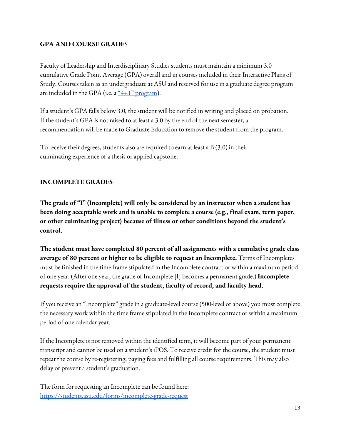### **GPA AND COURSE GRADE**S

Faculty of Leadership and Interdisciplinary Studies students must maintain a minimum 3.0 cumulative Grade Point Average (GPA) overall and in courses included in their Interactive Plans of Study. Courses taken as an undergraduate at ASU and reserved for use in a graduate degree program are included in the GPA (i.e. a  $\frac{a_4+1}{2}$  [program](https://cisa.asu.edu/4plus1)).

If a student's GPA falls below 3.0, the student will be notified in writing and placed on probation. If the student's GPA is not raised to at least a 3.0 by the end of the next semester, a recommendation will be made to Graduate Education to remove the student from the program.

To receive their degrees, students also are required to earn at least a B (3.0) in their culminating experience of a thesis or applied capstone.

### **INCOMPLETE GRADES**

**The grade of "I" (Incomplete) will only be considered by an instructor when a student has been doing acceptable work and is unable to complete a course (e.g., final exam, term paper, or other culminating project) because of illness or other conditions beyond the student's control.**

**The student must have completed 80 percent of all assignments with a cumulative grade class average of 80 percent or higher to be eligible to request an Incomplete.** Terms of Incompletes must be finished in the time frame stipulated in the Incomplete contract or within a maximum period of one year. (After one year, the grade of Incomplete [I] becomes a permanent grade.) **Incomplete requests require the approval of the student, faculty of record, and faculty head.**

If you receive an "Incomplete" grade in a graduate-level course (500-level or above) you must complete the necessary work within the time frame stipulated in the Incomplete contract or within a maximum period of one calendar year.

If the Incomplete is not removed within the identified term, it will become part of your permanent transcript and cannot be used on a student's iPOS. To receive credit for the course, the student must repeat the course by re-registering, paying fees and fulfilling all course requirements. This may also delay or prevent a student's graduation.

The form for requesting an Incomplete can be found here: <https://students.asu.edu/forms/incomplete-grade-request>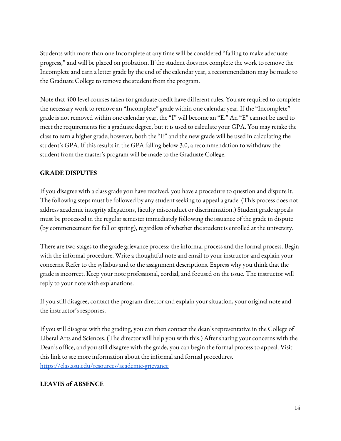Students with more than one Incomplete at any time will be considered "failing to make adequate progress," and will be placed on probation. If the student does not complete the work to remove the Incomplete and earn a letter grade by the end of the calendar year, a recommendation may be made to the Graduate College to remove the student from the program.

Note that 400-level courses taken for graduate credit have different rules. You are required to complete the necessary work to remove an "Incomplete" grade within one calendar year. If the "Incomplete" grade is not removed within one calendar year, the "I" will become an "E." An "E" cannot be used to meet the requirements for a graduate degree, but it is used to calculate your GPA. You may retake the class to earn a higher grade; however, both the "E" and the new grade will be used in calculating the student's GPA. If this results in the GPA falling below 3.0, a recommendation to withdraw the student from the master's program will be made to the Graduate College.

# **GRADE DISPUTES**

If you disagree with a class grade you have received, you have a procedure to question and dispute it. The following steps must be followed by any student seeking to appeal a grade. (This process does not address academic integrity allegations, faculty misconduct or discrimination.) Student grade appeals must be processed in the regular semester immediately following the issuance of the grade in dispute (by commencement for fall or spring), regardless of whether the student is enrolled at the university.

There are two stages to the grade grievance process: the informal process and the formal process. Begin with the informal procedure. Write a thoughtful note and email to your instructor and explain your concerns. Refer to the syllabus and to the assignment descriptions. Express why you think that the grade is incorrect. Keep your note professional, cordial, and focused on the issue. The instructor will reply to your note with explanations.

If you still disagree, contact the program director and explain your situation, your original note and the instructor's responses.

If you still disagree with the grading, you can then contact the dean's representative in the College of Liberal Arts and Sciences. (The director will help you with this.) After sharing your concerns with the Dean's office, and you still disagree with the grade, you can begin the formal process to appeal. Visit this link to see more information about the informal and formal procedures. <https://clas.asu.edu/resources/academic-grievance>

# **LEAVES of ABSENCE**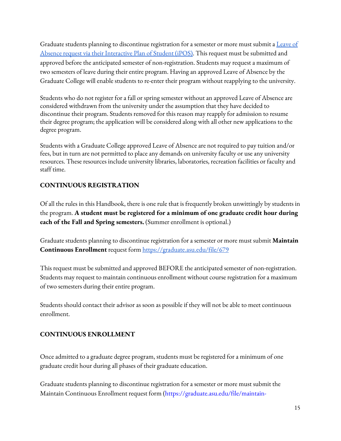Graduate students planning to discontinue registration for a semester or more must submit a **[Leave](https://graduate.asu.edu/current-students/policies-forms-and-deadlines/policy-manuals) of** Absence request via their [Interactive](https://graduate.asu.edu/current-students/policies-forms-and-deadlines/policy-manuals) Plan of Student (iPOS). This request must be submitted and approved before the anticipated semester of non-registration. Students may request a maximum of two semesters of leave during their entire program. Having an approved Leave of Absence by the Graduate College will enable students to re-enter their program without reapplying to the university.

Students who do not register for a fall or spring semester without an approved Leave of Absence are considered withdrawn from the university under the assumption that they have decided to discontinue their program. Students removed for this reason may reapply for admission to resume their degree program; the application will be considered along with all other new applications to the degree program.

Students with a Graduate College approved Leave of Absence are not required to pay tuition and/or fees, but in turn are not permitted to place any demands on university faculty or use any university resources. These resources include university libraries, laboratories, recreation facilities or faculty and staff time.

# **CONTINUOUS REGISTRATION**

Of all the rules in this Handbook, there is one rule that is frequently broken unwittingly by students in the program. **A student must be registered for a minimum of one graduate credit hour during each of the Fall and Spring semesters.** (Summer enrollment is optional.)

Graduate students planning to discontinue registration for a semester or more must submit **Maintain Continuous Enrollment** request form <https://graduate.asu.edu/file/679>

This request must be submitted and approved BEFORE the anticipated semester of non-registration. Students may request to maintain continuous enrollment without course registration for a maximum of two semesters during their entire program.

Students should contact their advisor as soon as possible if they will not be able to meet continuous enrollment.

# **CONTINUOUS ENROLLMENT**

Once admitted to a graduate degree program, students must be registered for a minimum of one graduate credit hour during all phases of their graduate education.

Graduate students planning to discontinue registration for a semester or more must submit the Maintain Continuous Enrollment request form (https://graduate.asu.edu/file/maintain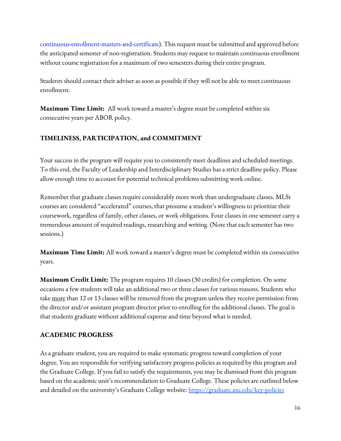continuous-enrollment-masters-and-certificate). This request must be submitted and approved before the anticipated semester of non-registration. Students may request to maintain continuous enrollment without course registration for a maximum of two semesters during their entire program.

Students should contact their adviser as soon as possible if they will not be able to meet continuous enrollment.

**Maximum Time Limit:** All work toward a master's degree must be completed within six consecutive years per ABOR policy.

### **TIMELINESS, PARTICIPATION, and COMMITMENT**

Your success in the program will require you to consistently meet deadlines and scheduled meetings. To this end, the Faculty of Leadership and Interdisciplinary Studies has a strict deadline policy. Please allow enough time to account for potential technical problems submitting work online.

Remember that graduate classes require considerably more work than undergraduate classes. MLSt courses are considered "accelerated" courses, that presume a student's willingness to prioritize their coursework, regardless of family, other classes, or work obligations. Four classes in one semester carry a tremendous amount of required readings, researching and writing. (Note that each semester has two sessions.)

**Maximum Time Limit:** All work toward a master's degree must be completed within six consecutive years.

**Maximum Credit Limit:** The program requires 10 classes (30 credits) for completion. On some occasions a few students will take an additional two or three classes for various reasons. Students who take more than 12 or 13 classes will be removed from the program unless they receive permission from the director and/or assistant program director prior to enrolling for the additional classes. The goal is that students graduate without additional expense and time beyond what is needed.

### **ACADEMIC PROGRESS**

As a graduate student, you are required to make systematic progress toward completion of your degree. You are responsible for verifying satisfactory progress policies as required by this program and the Graduate College. If you fail to satisfy the requirements, you may be dismissed from this program based on the academic unit's recommendation to Graduate College. These policies are outlined below and detailed on the university's Graduate College website: <https://graduate.asu.edu/key-policies>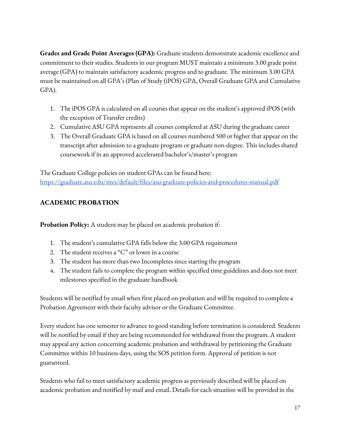**Grades and Grade Point Averages (GPA):** Graduate students demonstrate academic excellence and commitment to their studies. Students in our program MUST maintain a minimum 3.00 grade point average (GPA) to maintain satisfactory academic progress and to graduate. The minimum 3.00 GPA must be maintained on all GPA's (Plan of Study (iPOS) GPA, Overall Graduate GPA and Cumulative GPA).

- 1. The iPOS GPA is calculated on all courses that appear on the student's approved iPOS (with the exception of Transfer credits)
- 2. Cumulative ASU GPA represents all courses completed at ASU during the graduate career
- 3. The Overall Graduate GPA is based on all courses numbered 500 or higher that appear on the transcript after admission to a graduate program or graduate non-degree. This includes shared coursework if in an approved accelerated bachelor's/master's program

The Graduate College policies on student GPAs can be found here: <https://graduate.asu.edu/sites/default/files/asu-graduate-policies-and-procedures-manual.pdf>

# **ACADEMIC PROBATION**

**Probation Policy:** A student may be placed on academic probation if:

- 1. The student's cumulative GPA falls below the 3.00 GPA requirement
- 2. The student receives a "C" or lower in a course
- 3. The student has more than two Incompletes since starting the program
- 4. The student fails to complete the program within specified time guidelines and does not meet milestones specified in the graduate handbook

Students will be notified by email when first placed on probation and will be required to complete a Probation Agreement with their faculty advisor or the Graduate Committee.

Every student has one semester to advance to good standing before termination is considered. Students will be notified by email if they are being recommended for withdrawal from the program. A student may appeal any action concerning academic probation and withdrawal by petitioning the Graduate Committee within 10 business days, using the SOS petition form. Approval of petition is not guaranteed.

Students who fail to meet satisfactory academic progress as previously described will be placed on academic probation and notified by mail and email. Details for each situation will be provided in the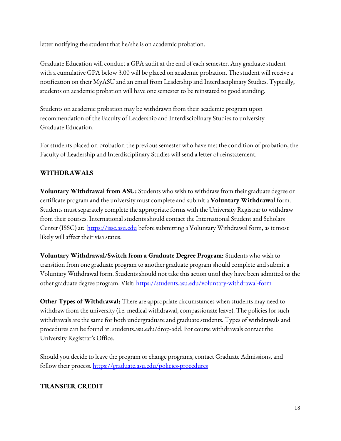letter notifying the student that he/she is on academic probation.

Graduate Education will conduct a GPA audit at the end of each semester. Any graduate student with a cumulative GPA below 3.00 will be placed on academic probation. The student will receive a notification on their MyASU and an email from Leadership and Interdisciplinary Studies. Typically, students on academic probation will have one semester to be reinstated to good standing.

Students on academic probation may be withdrawn from their academic program upon recommendation of the Faculty of Leadership and Interdisciplinary Studies to university Graduate Education.

For students placed on probation the previous semester who have met the condition of probation, the Faculty of Leadership and Interdisciplinary Studies will send a letter of reinstatement.

# **WITHDRAWALS**

**Voluntary Withdrawal from ASU:** Students who wish to withdraw from their graduate degree or certificate program and the university must complete and submit a **Voluntary Withdrawal** form. Students must separately complete the appropriate forms with the University Registrar to withdraw from their courses. International students should contact the International Student and Scholars Center (ISSC) at: [https://issc.asu.edu](https://issc.asu.edu/) before submitting a Voluntary Withdrawal form, as it most likely will affect their visa status.

**Voluntary Withdrawal/Switch from a Graduate Degree Program:** Students who wish to transition from one graduate program to another graduate program should complete and submit a Voluntary Withdrawal form. Students should not take this action until they have been admitted to the other graduate degree program. Visit: <https://students.asu.edu/voluntary-withdrawal-form>

**Other Types of Withdrawal:** There are appropriate circumstances when students may need to withdraw from the university (i.e. medical withdrawal, compassionate leave). The policies for such withdrawals are the same for both undergraduate and graduate students. Types of withdrawals and procedures can be found at: students.asu.edu/drop-add. For course withdrawals contact the University Registrar's Office.

Should you decide to leave the program or change programs, contact Graduate Admissions, and follow their process. <https://graduate.asu.edu/policies-procedures>

# **TRANSFER CREDIT**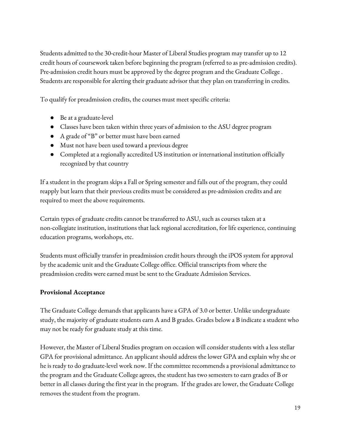Students admitted to the 30-credit-hour Master of Liberal Studies program may transfer up to 12 credit hours of coursework taken before beginning the program (referred to as pre-admission credits). Pre-admission credit hours must be approved by the degree program and the Graduate College . Students are responsible for alerting their graduate advisor that they plan on transferring in credits.

To qualify for preadmission credits, the courses must meet specific criteria:

- Be at a graduate-level
- Classes have been taken within three years of admission to the ASU degree program
- A grade of "B" or better must have been earned
- Must not have been used toward a previous degree
- Completed at a regionally accredited US institution or international institution officially recognized by that country

If a student in the program skips a Fall or Spring semester and falls out of the program, they could reapply but learn that their previous credits must be considered as pre-admission credits and are required to meet the above requirements.

Certain types of graduate credits cannot be transferred to ASU, such as courses taken at a non-collegiate institution, institutions that lack regional accreditation, for life experience, continuing education programs, workshops, etc.

Students must officially transfer in preadmission credit hours through the iPOS system for approval by the academic unit and the Graduate College office. Official transcripts from where the preadmission credits were earned must be sent to the Graduate Admission Services.

# **Provisional Acceptance**

The Graduate College demands that applicants have a GPA of 3.0 or better. Unlike undergraduate study, the majority of graduate students earn A and B grades. Grades below a B indicate a student who may not be ready for graduate study at this time.

However, the Master of Liberal Studies program on occasion will consider students with a less stellar GPA for provisional admittance. An applicant should address the lower GPA and explain why she or he is ready to do graduate-level work now. If the committee recommends a provisional admittance to the program and the Graduate College agrees, the student has two semesters to earn grades of B or better in all classes during the first year in the program. If the grades are lower, the Graduate College removes the student from the program.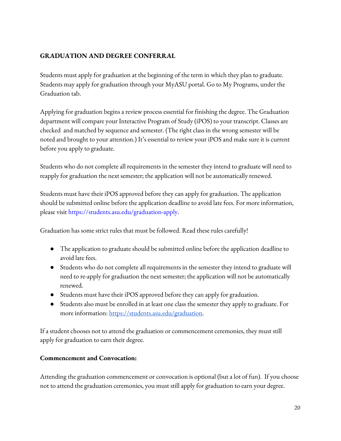## **GRADUATION AND DEGREE CONFERRAL**

Students must apply for graduation at the beginning of the term in which they plan to graduate. Students may apply for graduation through your MyASU portal. Go to My Programs, under the Graduation tab.

Applying for graduation begins a review process essential for finishing the degree. The Graduation department will compare your Interactive Program of Study (iPOS) to your transcript. Classes are checked and matched by sequence and semester. (The right class in the wrong semester will be noted and brought to your attention.) It's essential to review your iPOS and make sure it is current before you apply to graduate.

Students who do not complete all requirements in the semester they intend to graduate will need to reapply for graduation the next semester; the application will not be automatically renewed.

Students must have their iPOS approved before they can apply for graduation. The application should be submitted online before the application deadline to avoid late fees. For more information, please visit https://students.asu.edu/graduation-apply.

Graduation has some strict rules that must be followed. Read these rules carefully!

- The application to graduate should be submitted online before the application deadline to avoid late fees.
- Students who do not complete all requirements in the semester they intend to graduate will need to re-apply for graduation the next semester; the application will not be automatically renewed.
- Students must have their iPOS approved before they can apply for graduation.
- Students also must be enrolled in at least one class the semester they apply to graduate. For more information: [https://students.asu.edu/graduation.](https://students.asu.edu/graduation)

If a student chooses not to attend the graduation or commencement ceremonies, they must still apply for graduation to earn their degree.

### **Commencement and Convocation:**

Attending the graduation commencement or convocation is optional (but a lot of fun). If you choose not to attend the graduation ceremonies, you must still apply for graduation to earn your degree.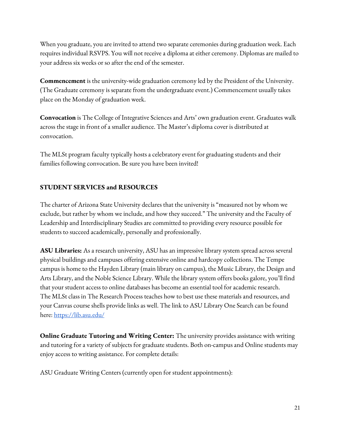When you graduate, you are invited to attend two separate ceremonies during graduation week. Each requires individual RSVPS. You will not receive a diploma at either ceremony. Diplomas are mailed to your address six weeks or so after the end of the semester.

**Commencement** is the university-wide graduation ceremony led by the President of the University. (The Graduate ceremony is separate from the undergraduate event.) Commencement usually takes place on the Monday of graduation week.

**Convocation** is The College of Integrative Sciences and Arts' own graduation event. Graduates walk across the stage in front of a smaller audience. The Master's diploma cover is distributed at convocation.

The MLSt program faculty typically hosts a celebratory event for graduating students and their families following convocation. Be sure you have been invited!

### **STUDENT SERVICES and RESOURCES**

The charter of Arizona State University declares that the university is "measured not by whom we exclude, but rather by whom we include, and how they succeed." The university and the Faculty of Leadership and Interdisciplinary Studies are committed to providing every resource possible for students to succeed academically, personally and professionally.

**ASU Libraries:** As a research university, ASU has an impressive library system spread across several physical buildings and campuses offering extensive online and hardcopy collections. The Tempe campus is home to the Hayden Library (main library on campus), the Music Library, the Design and Arts Library, and the Noble Science Library. While the library system offers books galore, you'll find that your student access to online databases has become an essential tool for academic research. The MLSt class in The Research Process teaches how to best use these materials and resources, and your Canvas course shells provide links as well. The link to ASU Library One Search can be found here: <https://lib.asu.edu/>

**Online Graduate Tutoring and Writing Center:** The university provides assistance with writing and tutoring for a variety of subjects for graduate students. Both on-campus and Online students may enjoy access to writing assistance. For complete details:

ASU Graduate Writing Centers (currently open for student appointments):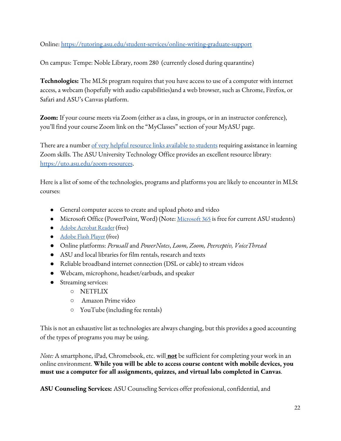Online: <https://tutoring.asu.edu/student-services/online-writing-graduate-support>

On campus: Tempe: Noble Library, room 280 (currently closed during quarantine)

**Technologies:** The MLSt program requires that you have access to use of a computer with internet access, a webcam (hopefully with audio capabilities)and a web browser, such as Chrome, Firefox, or Safari and ASU's Canvas platform.

**Zoom:** If your course meets via Zoom (either as a class, in groups, or in an instructor conference), you'll find your course Zoom link on the "MyClasses" section of your MyASU page.

There are a number <u>of very helpful resource links [available](https://uto.asu.edu/zoom-resources) to students</u> requiring assistance in learning Zoom skills. The ASU University Technology Office provides an excellent resource library: <https://uto.asu.edu/zoom-resources>.

Here is a list of some of the technologies, programs and platforms you are likely to encounter in MLSt courses:

- General computer access to create and upload photo and video
- [Microsoft](https://myapps.asu.edu/app/microsoft-office-2016-home-usage) Office (PowerPoint, Word) (Note: <u>Microsoft 365</u> is free for current ASU students)
- Adobe [Acrobat](http://get.adobe.com/reader/) Reader (free)
- [Adobe](http://get.adobe.com/flashplayer/) Flash Player (free)
- Online platforms: *Perusall* and *PowerNotes*, *Loom, Zoom, Peerceptiv, VoiceThread*
- ASU and local libraries for film rentals, research and texts
- Reliable broadband internet connection (DSL or cable) to stream videos
- Webcam, microphone, headset/earbuds, and speaker
- Streaming services:
	- NETFLIX
	- Amazon Prime video
	- YouTube (including fee rentals)

This is not an exhaustive list as technologies are always changing, but this provides a good accounting of the types of programs you may be using.

*Note:* A smartphone, iPad, Chromebook, etc. will **not** be sufficient for completing your work in an online environment. **While you will be able to access course content with mobile devices, you must use a computer for all assignments, quizzes, and virtual labs completed in Canvas**.

**ASU Counseling Services:** ASU Counseling Services offer professional, confidential, and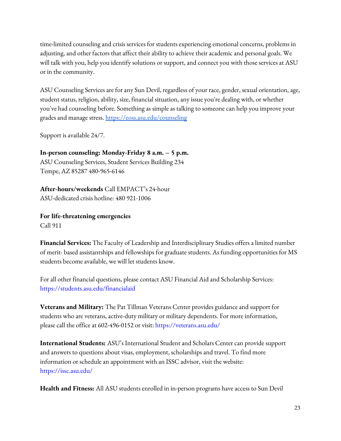time-limited counseling and crisis services for students experiencing emotional concerns, problems in adjusting, and other factors that affect their ability to achieve their academic and personal goals. We will talk with you, help you identify solutions or support, and connect you with those services at ASU or in the community.

ASU Counseling Services are for any Sun Devil, regardless of your race, gender, sexual orientation, age, student status, religion, ability, size, financial situation, any issue you're dealing with, or whether you've had counseling before. Something as simple as talking to someone can help you improve your grades and manage stress. <https://eoss.asu.edu/counseling>

Support is available 24/7.

**In-person counseling: Monday-Friday 8 a.m. – 5 p.m.** ASU Counseling Services, Student Services Building 234 Tempe, AZ 85287 480-965-6146

**After-hours/weekends** Call EMPACT's 24-hour ASU-dedicated crisis hotline: 480 921-1006

**For life-threatening emergencies** Call 911

**Financial Services:** The Faculty of Leadership and Interdisciplinary Studies offers a limited number of merit- based assistantships and fellowships for graduate students. As funding opportunities for MS students become available, we will let students know.

For all other financial questions, please contact ASU Financial Aid and Scholarship Services: https://students.asu.edu/financialaid

**Veterans and Military:** The Pat Tillman Veterans Center provides guidance and support for students who are veterans, active-duty military or military dependents. For more information, please call the office at 602-496-0152 or visit: https://veterans.asu.edu/

**International Students:** ASU's International Student and Scholars Center can provide support and answers to questions about visas, employment, scholarships and travel. To find more information or schedule an appointment with an ISSC advisor, visit the website: https://issc.asu.edu/

**Health and Fitness:** All ASU students enrolled in in-person programs have access to Sun Devil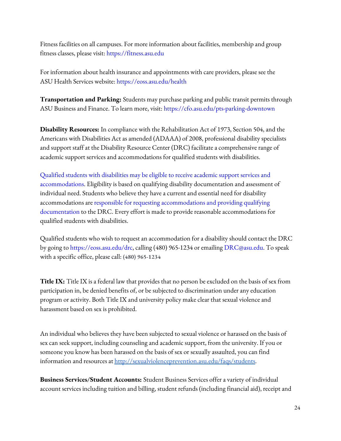Fitness facilities on all campuses. For more information about facilities, membership and group fitness classes, please visit: https://fitness.asu.edu

For information about health insurance and appointments with care providers, please see the ASU Health Services website: https://eoss.asu.edu/health

**Transportation and Parking:** Students may purchase parking and public transit permits through ASU Business and Finance. To learn more, visit: https://cfo.asu.edu/pts-parking-downtown

**Disability Resources:** In compliance with the Rehabilitation Act of 1973, Section 504, and the Americans with Disabilities Act as amended (ADAAA) of 2008, professional disability specialists and support staff at the Disability Resource Center (DRC) facilitate a comprehensive range of academic support services and accommodations for qualified students with disabilities.

Qualified students with disabilities may be eligible to receive academic support services and accommodations. Eligibility is based on qualifying disability documentation and assessment of individual need. Students who believe they have a current and essential need for disability accommodations are responsible for requesting accommodations and providing qualifying documentation to the DRC. Every effort is made to provide reasonable accommodations for qualified students with disabilities.

Qualified students who wish to request an accommodation for a disability should contact the DRC by going to https://eoss.asu.edu/drc, calling (480) 965-1234 or emailing DRC@asu.edu. To speak with a specific office, please call: **(480) 965-1234**

**Title IX:** Title IX is a federal law that provides that no person be excluded on the basis of sex from participation in, be denied benefits of, or be subjected to discrimination under any education program or activity. Both Title IX and university policy make clear that sexual violence and harassment based on sex is prohibited.

An individual who believes they have been subjected to sexual violence or harassed on the basis of sex can seek support, including counseling and academic support, from the university. If you or someone you know has been harassed on the basis of sex or sexually assaulted, you can find information and resources at <http://sexualviolenceprevention.asu.edu/faqs/students>.

**Business Services/Student Accounts:** Student Business Services offer a variety of individual account services including tuition and billing, student refunds (including financial aid), receipt and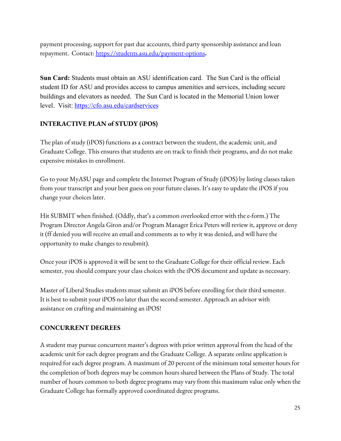payment processing, support for past due accounts, third party sponsorship assistance and loan repayment. Contact: <https://students.asu.edu/payment-options>**.**

**Sun Card:** Students must obtain an ASU identification card. The Sun Card is the official student ID for ASU and provides access to campus amenities and services, including secure buildings and elevators as needed. The Sun Card is located in the Memorial Union lower level. Visit: <https://cfo.asu.edu/cardservices>

# **INTERACTIVE PLAN of STUDY (iPOS)**

The plan of study (iPOS) functions as a contract between the student, the academic unit, and Graduate College. This ensures that students are on track to finish their programs, and do not make expensive mistakes in enrollment.

Go to your MyASU page and complete the Internet Program of Study (iPOS) by listing classes taken from your transcript and your best guess on your future classes. It's easy to update the iPOS if you change your choices later.

Hit SUBMIT when finished. (Oddly, that's a common overlooked error with the e-form.) The Program Director Angela Giron and/or Program Manager Erica Peters will review it, approve or deny it (ff denied you will receive an email and comments as to why it was denied, and will have the opportunity to make changes to resubmit).

Once your iPOS is approved it will be sent to the Graduate College for their official review. Each semester, you should compare your class choices with the iPOS document and update as necessary.

Master of Liberal Studies students must submit an iPOS before enrolling for their third semester. It is best to submit your iPOS no later than the second semester. Approach an advisor with assistance on crafting and maintaining an iPOS!

### **CONCURRENT DEGREES**

A student may pursue concurrent master's degrees with prior written approval from the head of the academic unit for each degree program and the Graduate College. A separate online application is required for each degree program. A maximum of 20 percent of the minimum total semester hours for the completion of both degrees may be common hours shared between the Plans of Study. The total number of hours common to both degree programs may vary from this maximum value only when the Graduate College has formally approved coordinated degree programs.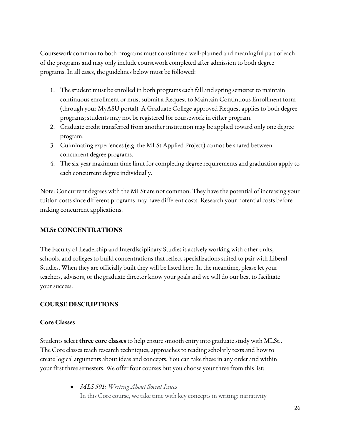Coursework common to both programs must constitute a well-planned and meaningful part of each of the programs and may only include coursework completed after admission to both degree programs. In all cases, the guidelines below must be followed:

- 1. The student must be enrolled in both programs each fall and spring semester to maintain continuous enrollment or must submit a Request to Maintain Continuous Enrollment form (through your MyASU portal). A Graduate College-approved Request applies to both degree programs; students may not be registered for coursework in either program.
- 2. Graduate credit transferred from another institution may be applied toward only one degree program.
- 3. Culminating experiences (e.g. the MLSt Applied Project) cannot be shared between concurrent degree programs.
- 4. The six-year maximum time limit for completing degree requirements and graduation apply to each concurrent degree individually.

Note: Concurrent degrees with the MLSt are not common. They have the potential of increasing your tuition costs since different programs may have different costs. Research your potential costs before making concurrent applications.

### **MLSt CONCENTRATIONS**

The Faculty of Leadership and Interdisciplinary Studies is actively working with other units, schools, and colleges to build concentrations that reflect specializations suited to pair with Liberal Studies. When they are officially built they will be listed here. In the meantime, please let your teachers, advisors, or the graduate director know your goals and we will do our best to facilitate your success.

### **COURSE DESCRIPTIONS**

#### **Core Classes**

Students select **three core classes** to help ensure smooth entry into graduate study with MLSt.. The Core classes teach research techniques, approaches to reading scholarly texts and how to create logical arguments about ideas and concepts. You can take these in any order and within your first three semesters. We offer four courses but you choose your three from this list:

> ● *MLS 501: Writing About Social Issues* In this Core course, we take time with key concepts in writing: narrativity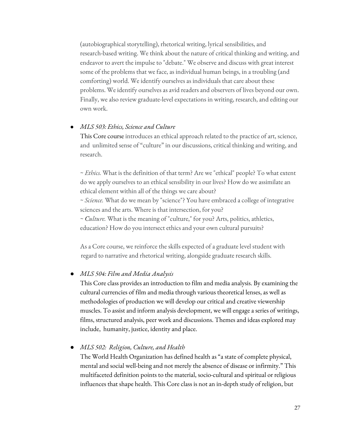(autobiographical storytelling), rhetorical writing, lyrical sensibilities, and research-based writing. We think about the nature of critical thinking and writing, and endeavor to avert the impulse to "debate." We observe and discuss with great interest some of the problems that we face, as individual human beings, in a troubling (and comforting) world. We identify ourselves as individuals that care about these problems. We identify ourselves as avid readers and observers of lives beyond our own. Finally, we also review graduate-level expectations in writing, research, and editing our own work.

#### ● *MLS 503: Ethics, Science and Culture*

This Core course introduces an ethical approach related to the practice of art, science, and unlimited sense of "culture" in our discussions, critical thinking and writing, and research.

~ *Ethics.* What is the definition of that term? Are we "ethical" people? To what extent do we apply ourselves to an ethical sensibility in our lives? How do we assimilate an ethical element within all of the things we care about?

~ *Science.* What do we mean by "science"? You have embraced a college of integrative sciences and the arts. Where is that intersection, for you?

~ *Culture.* What is the meaning of "culture," for you? Arts, politics, athletics, education? How do you intersect ethics and your own cultural pursuits?

As a Core course, we reinforce the skills expected of a graduate level student with regard to narrative and rhetorical writing, alongside graduate research skills.

#### ● *MLS 504: Film and Media Analysis*

This Core class provides an introduction to film and media analysis. By examining the cultural currencies of film and media through various theoretical lenses, as well as methodologies of production we will develop our critical and creative viewership muscles. To assist and inform analysis development, we will engage a series of writings, films, structured analysis, peer work and discussions. Themes and ideas explored may include, humanity, justice, identity and place.

● *MLS 502: Religion, Culture, and Health*

The World Health Organization has defined health as "a state of complete physical, mental and social well-being and not merely the absence of disease or infirmity." This multifaceted definition points to the material, socio-cultural and spiritual or religious influences that shape health. This Core class is not an in-depth study of religion, but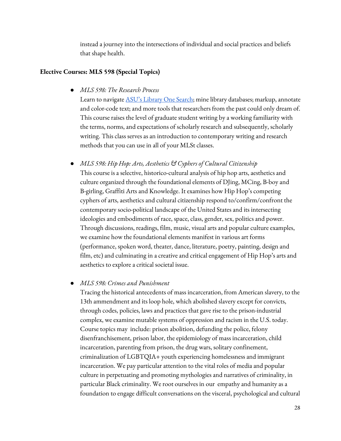instead a journey into the intersections of individual and social practices and beliefs that shape health.

#### **Elective Courses: MLS 598 (Special Topics)**

● *MLS 598: The Research Process*

Learn to navigate **ASU's [Library](https://lib.asu.edu/) One Search**; mine library databases; markup, annotate and color-code text; and more tools that researchers from the past could only dream of. This course raises the level of graduate student writing by a working familiarity with the terms, norms, and expectations of scholarly research and subsequently, scholarly writing. This class serves as an introduction to contemporary writing and research methods that you can use in all of your MLSt classes.

● *MLS 598: Hip Hop: Arts, Aesthetics & Cyphers of Cultural Citizenship* This course is a selective, historico-cultural analysis of hip hop arts, aesthetics and culture organized through the foundational elements of DJing, MCing, B-boy and B-girling, Graffiti Arts and Knowledge. It examines how Hip Hop's competing cyphers of arts, aesthetics and cultural citizenship respond to/confirm/confront the contemporary socio-political landscape of the United States and its intersecting ideologies and embodiments of race, space, class, gender, sex, politics and power. Through discussions, readings, film, music, visual arts and popular culture examples, we examine how the foundational elements manifest in various art forms (performance, spoken word, theater, dance, literature, poetry, painting, design and film, etc) and culminating in a creative and critical engagement of Hip Hop's arts and aesthetics to explore a critical societal issue.

#### ● *MLS 598: Crimes and Punishment*

Tracing the historical antecedents of mass incarceration, from American slavery, to the 13th ammendment and its loop hole, which abolished slavery except for convicts, through codes, policies, laws and practices that gave rise to the prison-industrial complex, we examine mutable systems of oppression and racism in the U.S. today. Course topics may include: prison abolition, defunding the police, felony disenfranchisement, prison labor, the epidemiology of mass incarceration, child incarceration, parenting from prison, the drug wars, solitary confinement, criminalization of LGBTQIA+ youth experiencing homelessness and immigrant incarceration. We pay particular attention to the vital roles of media and popular culture in perpetuating and promoting mythologies and narratives of criminality, in particular Black criminality. We root ourselves in our empathy and humanity as a foundation to engage difficult conversations on the visceral, psychological and cultural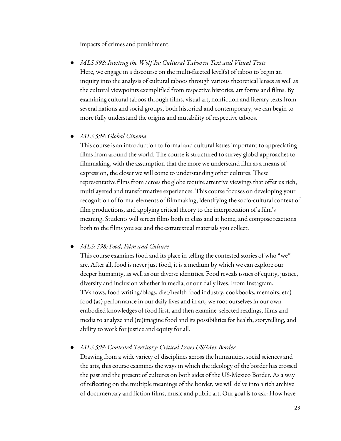impacts of crimes and punishment.

● *MLS 598: Inviting the Wolf In: Cultural Taboo in Text and Visual Texts* Here, we engage in a discourse on the multi-faceted level(s) of taboo to begin an inquiry into the analysis of cultural taboos through various theoretical lenses as well as the cultural viewpoints exemplified from respective histories, art forms and films. By examining cultural taboos through films, visual art, nonfiction and literary texts from several nations and social groups, both historical and contemporary, we can begin to more fully understand the origins and mutability of respective taboos.

### ● *MLS 598: Global Cinema*

This course is an introduction to formal and cultural issues important to appreciating films from around the world. The course is structured to survey global approaches to filmmaking, with the assumption that the more we understand film as a means of expression, the closer we will come to understanding other cultures. These representative films from across the globe require attentive viewings that offer us rich, multilayered and transformative experiences. This course focuses on developing your recognition of formal elements of filmmaking, identifying the socio-cultural context of film productions, and applying critical theory to the interpretation of a film's meaning. Students will screen films both in class and at home, and compose reactions both to the films you see and the extratextual materials you collect.

### ● *MLS: 598: Food, Film and Culture*

This course examines food and its place in telling the contested stories of who "we" are. After all, food is never just food, it is a medium by which we can explore our deeper humanity, as well as our diverse identities. Food reveals issues of equity, justice, diversity and inclusion whether in media, or our daily lives. From Instagram, TVshows, food writing/blogs, diet/health food industry, cookbooks, memoirs, etc) food (as) performance in our daily lives and in art, we root ourselves in our own embodied knowledges of food first, and then examine selected readings, films and media to analyze and (re)imagine food and its possibilities for health, storytelling, and ability to work for justice and equity for all.

● *MLS 598:* C*ontested Territory: Critical Issues US/Mex Border*

Drawing from a wide variety of disciplines across the humanities, social sciences and the arts, this course examines the ways in which the ideology of the border has crossed the past and the present of cultures on both sides of the US-Mexico Border. As a way of reflecting on the multiple meanings of the border, we will delve into a rich archive of documentary and fiction films, music and public art. Our goal is to ask: How have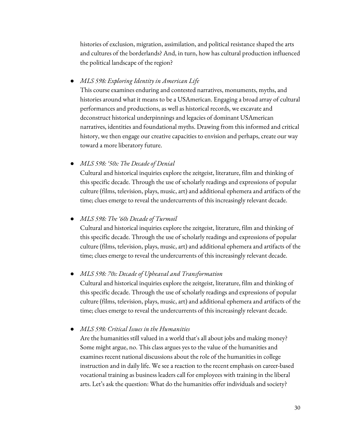histories of exclusion, migration, assimilation, and political resistance shaped the arts and cultures of the borderlands? And, in turn, how has cultural production influenced the political landscape of the region?

● *MLS 598: Exploring Identity in American Life*

This course examines enduring and contested narratives, monuments, myths, and histories around what it means to be a USAmerican. Engaging a broad array of cultural performances and productions, as well as historical records, we excavate and deconstruct historical underpinnings and legacies of dominant USAmerican narratives, identities and foundational myths. Drawing from this informed and critical history, we then engage our creative capacities to envision and perhaps, create our way toward a more liberatory future.

● *MLS 598: '50s: The Decade of Denial*

Cultural and historical inquiries explore the zeitgeist, literature, film and thinking of this specific decade. Through the use of scholarly readings and expressions of popular culture (films, television, plays, music, art) and additional ephemera and artifacts of the time; clues emerge to reveal the undercurrents of this increasingly relevant decade.

● *MLS 598: The '60s Decade of Turmoil*

Cultural and historical inquiries explore the zeitgeist, literature, film and thinking of this specific decade. Through the use of scholarly readings and expressions of popular culture (films, television, plays, music, art) and additional ephemera and artifacts of the time; clues emerge to reveal the undercurrents of this increasingly relevant decade.

● *MLS 598: 70s: Decade of Upheaval and Transformation*

Cultural and historical inquiries explore the zeitgeist, literature, film and thinking of this specific decade. Through the use of scholarly readings and expressions of popular culture (films, television, plays, music, art) and additional ephemera and artifacts of the time; clues emerge to reveal the undercurrents of this increasingly relevant decade.

● *MLS 598: Critical Issues in the Humanities*

Are the humanities still valued in a world that's all about jobs and making money? Some might argue, no. This class argues yes to the value of the humanities and examines recent national discussions about the role of the humanities in college instruction and in daily life. We see a reaction to the recent emphasis on career-based vocational training as business leaders call for employees with training in the liberal arts. Let's ask the question: What do the humanities offer individuals and society?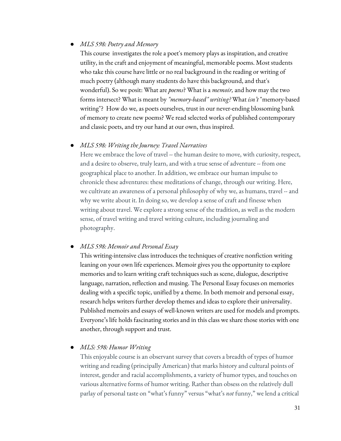### ● *MLS 598: Poetry and Memory*

This course investigates the role a poet's memory plays as inspiration, and creative utility, in the craft and enjoyment of meaningful, memorable poems. Most students who take this course have little or no real background in the reading or writing of much poetry (although many students do have this background, and that's wonderful). So we posit: What are *poems*? What is a *memoir,* and how may the two forms intersect? What is meant by *"memory-based" writing?* What *isn't* "memory-based writing"? How do we, as poets ourselves, trust in our never-ending blossoming bank of memory to create new poems? We read selected works of published contemporary and classic poets, and try our hand at our own, thus inspired.

#### ● *MLS 598: Writing the Journey: Travel Narratives*

Here we embrace the love of travel -- the human desire to move, with curiosity, respect, and a desire to observe, truly learn, and with a true sense of adventure -- from one geographical place to another. In addition, we embrace our human impulse to chronicle these adventures: these meditations of change, through our writing. Here, we cultivate an awareness of a personal philosophy of why we, as humans, travel -- and why we write about it. In doing so, we develop a sense of craft and finesse when writing about travel. We explore a strong sense of the tradition, as well as the modern sense, of travel writing and travel writing culture, including journaling and photography.

#### ● *MLS 598: Memoir and Personal Essay*

This writing-intensive class introduces the techniques of creative nonfiction writing leaning on your own life experiences. Memoir gives you the opportunity to explore memories and to learn writing craft techniques such as scene, dialogue, descriptive language, narration, reflection and musing. The Personal Essay focuses on memories dealing with a specific topic, unified by a theme. In both memoir and personal essay, research helps writers further develop themes and ideas to explore their universality. Published memoirs and essays of well-known writers are used for models and prompts. Everyone's life holds fascinating stories and in this class we share those stories with one another, through support and trust.

#### ● *MLS: 598: Humor Writing*

This enjoyable course is an observant survey that covers a breadth of types of humor writing and reading (principally American) that marks history and cultural points of interest, gender and racial accomplishments, a variety of humor types, and touches on various alternative forms of humor writing. Rather than obsess on the relatively dull parlay of personal taste on "what's funny" versus "what's *not* funny," we lend a critical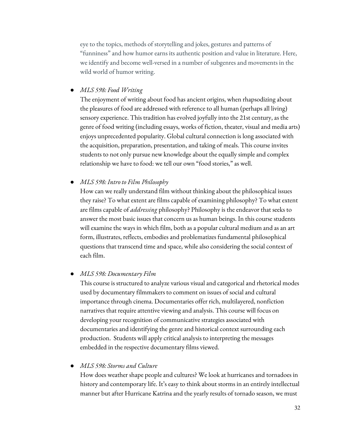eye to the topics, methods of storytelling and jokes, gestures and patterns of "funniness" and how humor earns its authentic position and value in literature. Here, we identify and become well-versed in a number of subgenres and movements in the wild world of humor writing.

● *MLS 598: Food Writing*

The enjoyment of writing about food has ancient origins, when rhapsodizing about the pleasures of food are addressed with reference to all human (perhaps all living) sensory experience. This tradition has evolved joyfully into the 21st century, as the genre of food writing (including essays, works of fiction, theater, visual and media arts) enjoys unprecedented popularity. Global cultural connection is long associated with the acquisition, preparation, presentation, and taking of meals. This course invites students to not only pursue new knowledge about the equally simple and complex relationship we have to food: we tell our own "food stories," as well.

● *MLS 598: Intro to Film Philosophy*

How can we really understand film without thinking about the philosophical issues they raise? To what extent are films capable of examining philosophy? To what extent are films capable of *addressing* philosophy? Philosophy is the endeavor that seeks to answer the most basic issues that concern us as human beings. In this course students will examine the ways in which film, both as a popular cultural medium and as an art form, illustrates, reflects, embodies and problematizes fundamental philosophical questions that transcend time and space, while also considering the social context of each film.

#### ● *MLS 598: Documentary Film*

This course is structured to analyze various visual and categorical and rhetorical modes used by documentary filmmakers to comment on issues of social and cultural importance through cinema. Documentaries offer rich, multilayered, nonfiction narratives that require attentive viewing and analysis. This course will focus on developing your recognition of communicative strategies associated with documentaries and identifying the genre and historical context surrounding each production. Students will apply critical analysis to interpreting the messages embedded in the respective documentary films viewed.

#### ● *MLS 598: Storms and Culture*

How does weather shape people and cultures? We look at hurricanes and tornadoes in history and contemporary life. It's easy to think about storms in an entirely intellectual manner but after Hurricane Katrina and the yearly results of tornado season, we must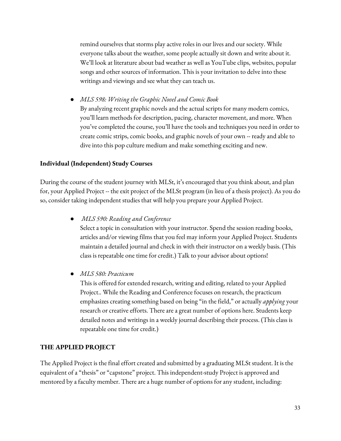remind ourselves that storms play active roles in our lives and our society. While everyone talks about the weather, some people actually sit down and write about it. We'll look at literature about bad weather as well as YouTube clips, websites, popular songs and other sources of information. This is your invitation to delve into these writings and viewings and see what they can teach us.

● *MLS 598: Writing the Graphic Novel and Comic Book* By analyzing recent graphic novels and the actual scripts for many modern comics, you'll learn methods for description, pacing, character movement, and more. When you've completed the course, you'll have the tools and techniques you need in order to create comic strips, comic books, and graphic novels of your own -- ready and able to dive into this pop culture medium and make something exciting and new.

### **Individual (Independent) Study Courses**

During the course of the student journey with MLSt, it's encouraged that you think about, and plan for, your Applied Project -- the exit project of the MLSt program (in lieu of a thesis project). As you do so, consider taking independent studies that will help you prepare your Applied Project.

● *MLS 590: Reading and Conference*

Select a topic in consultation with your instructor. Spend the session reading books, articles and/or viewing films that you feel may inform your Applied Project. Students maintain a detailed journal and check in with their instructor on a weekly basis. (This class is repeatable one time for credit.) Talk to your advisor about options!

● *MLS 580: Practicum*

This is offered for extended research, writing and editing, related to your Applied Project.. While the Reading and Conference focuses on research, the practicum emphasizes creating something based on being "in the field," or actually *applying* your research or creative efforts. There are a great number of options here. Students keep detailed notes and writings in a weekly journal describing their process. (This class is repeatable one time for credit.)

### **THE APPLIED PROJECT**

The Applied Project is the final effort created and submitted by a graduating MLSt student. It is the equivalent of a "thesis" or "capstone" project. This independent-study Project is approved and mentored by a faculty member. There are a huge number of options for any student, including: